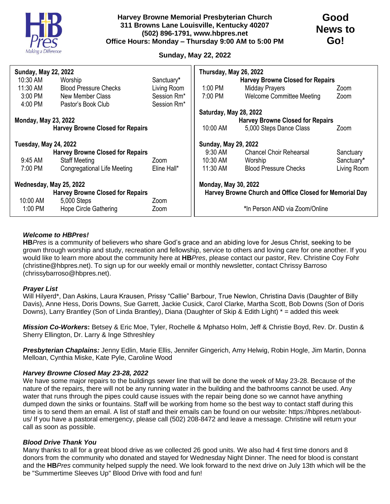

# **Sunday, May 22, 2022**

| <b>Sunday, May 22, 2022</b>             |                                         |             | Thursday, May 26, 2022                                  |                                         |             |
|-----------------------------------------|-----------------------------------------|-------------|---------------------------------------------------------|-----------------------------------------|-------------|
| 10:30 AM                                | Worship                                 | Sanctuary*  |                                                         | <b>Harvey Browne Closed for Repairs</b> |             |
| 11:30 AM                                | <b>Blood Pressure Checks</b>            | Living Room | 1:00 PM                                                 | <b>Midday Prayers</b>                   | Zoom        |
| $3:00$ PM                               | New Member Class                        | Session Rm* | 7:00 PM                                                 | <b>Welcome Committee Meeting</b>        | Zoom        |
| 4:00 PM                                 | Pastor's Book Club                      | Session Rm* |                                                         |                                         |             |
|                                         |                                         |             | Saturday, May 28, 2022                                  |                                         |             |
| <b>Monday, May 23, 2022</b>             |                                         |             | <b>Harvey Browne Closed for Repairs</b>                 |                                         |             |
|                                         | <b>Harvey Browne Closed for Repairs</b> |             | 10:00 AM                                                | 5,000 Steps Dance Class                 | Zoom        |
| <b>Tuesday, May 24, 2022</b>            |                                         |             | <b>Sunday, May 29, 2022</b>                             |                                         |             |
|                                         | <b>Harvey Browne Closed for Repairs</b> |             | $9:30$ AM                                               | <b>Chancel Choir Rehearsal</b>          | Sanctuary   |
| 9:45 AM                                 | <b>Staff Meeting</b>                    | Zoom        | 10:30 AM                                                | Worship                                 | Sanctuary*  |
| 7:00 PM                                 | <b>Congregational Life Meeting</b>      | Eline Hall* | $11:30$ AM                                              | <b>Blood Pressure Checks</b>            | Living Room |
| Wednesday, May 25, 2022                 |                                         |             | <b>Monday, May 30, 2022</b>                             |                                         |             |
| <b>Harvey Browne Closed for Repairs</b> |                                         |             | Harvey Browne Church and Office Closed for Memorial Day |                                         |             |
| 10:00 AM                                | 5,000 Steps                             | Zoom        |                                                         |                                         |             |
| 1:00 PM                                 | Hope Circle Gathering                   | Zoom        | *In Person AND via Zoom/Online                          |                                         |             |

## *Welcome to HBPres!*

**HB***Pres* is a community of believers who share God's grace and an abiding love for Jesus Christ, seeking to be grown through worship and study, recreation and fellowship, service to others and loving care for one another. If you would like to learn more about the community here at **HB***Pres*, please contact our pastor, Rev. Christine Coy Fohr (christine@hbpres.net). To sign up for our weekly email or monthly newsletter, contact Chrissy Barroso (chrissybarroso@hbpres.net).

### *Prayer List*

Will Hilyerd\*, Dan Askins, Laura Krausen, Prissy "Callie" Barbour, True Newlon, Christina Davis (Daughter of Billy Davis), Anne Hess, Doris Downs, Sue Garrett, Jackie Cusick, Carol Clarke, Martha Scott, Bob Downs (Son of Doris Downs), Larry Brantley (Son of Linda Brantley), Diana (Daughter of Skip & Edith Light) \* = added this week

*Mission Co-Workers***:** Betsey & Eric Moe, Tyler, Rochelle & Mphatso Holm, Jeff & Christie Boyd, Rev. Dr. Dustin & Sherry Ellington, Dr. Larry & Inge Sthreshley

*Presbyterian Chaplains:* Jenny Edlin, Marie Ellis, Jennifer Gingerich, Amy Helwig, Robin Hogle, Jim Martin, Donna Melloan, Cynthia Miske, Kate Pyle, Caroline Wood

### *Harvey Browne Closed May 23-28, 2022*

We have some major repairs to the buildings sewer line that will be done the week of May 23-28. Because of the nature of the repairs, there will not be any running water in the building and the bathrooms cannot be used. Any water that runs through the pipes could cause issues with the repair being done so we cannot have anything dumped down the sinks or fountains. Staff will be working from home so the best way to contact staff during this time is to send them an email. A list of staff and their emails can be found on our website: https://hbpres.net/aboutus/ If you have a pastoral emergency, please call (502) 208-8472 and leave a message. Christine will return your call as soon as possible.

### *Blood Drive Thank You*

Many thanks to all for a great blood drive as we collected 26 good units. We also had 4 first time donors and 8 donors from the community who donated and stayed for Wednesday Night Dinner. The need for blood is constant and the **HB***Pres* community helped supply the need. We look forward to the next drive on July 13th which will be the be "Summertime Sleeves Up" Blood Drive with food and fun!